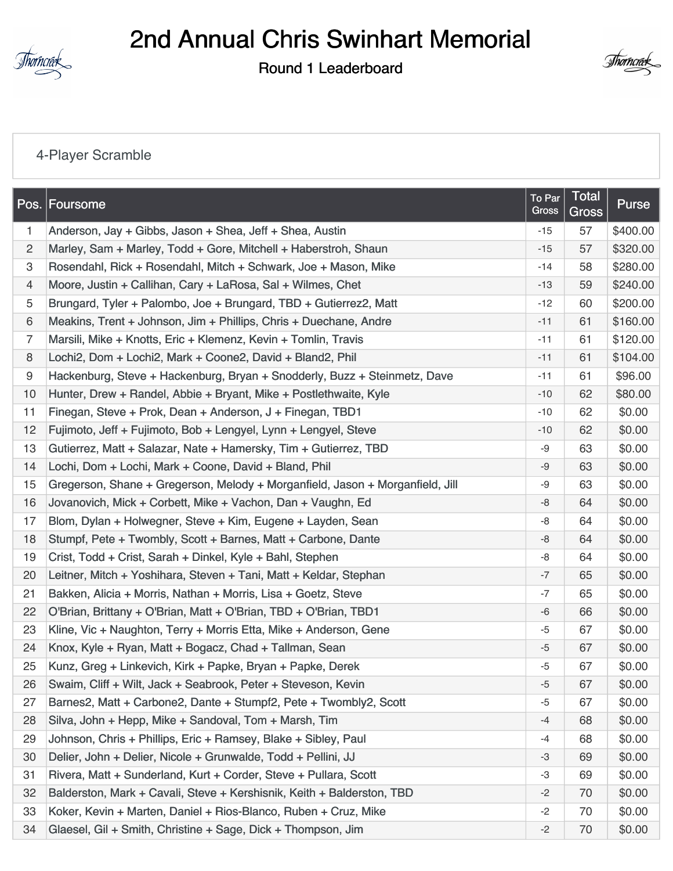

## 2nd Annual Chris Swinhart Memorial

Round 1 Leaderboard



## [4-Player Scramble](https://static.golfgenius.com/v2tournaments/8529615818495928120?called_from=&round_index=1)

|                | Pos. Foursome                                                                 | To Par<br>Gross | <b>Total</b><br>Gross | Purse    |
|----------------|-------------------------------------------------------------------------------|-----------------|-----------------------|----------|
| 1.             | Anderson, Jay + Gibbs, Jason + Shea, Jeff + Shea, Austin                      | $-15$           | 57                    | \$400.00 |
| $\overline{c}$ | Marley, Sam + Marley, Todd + Gore, Mitchell + Haberstroh, Shaun               | $-15$           | 57                    | \$320.00 |
| 3              | Rosendahl, Rick + Rosendahl, Mitch + Schwark, Joe + Mason, Mike               | $-14$           | 58                    | \$280.00 |
| 4              | Moore, Justin + Callihan, Cary + LaRosa, Sal + Wilmes, Chet                   | $-13$           | 59                    | \$240.00 |
| 5              | Brungard, Tyler + Palombo, Joe + Brungard, TBD + Gutierrez2, Matt             | $-12$           | 60                    | \$200.00 |
| 6              | Meakins, Trent + Johnson, Jim + Phillips, Chris + Duechane, Andre             | $-11$           | 61                    | \$160.00 |
| 7              | Marsili, Mike + Knotts, Eric + Klemenz, Kevin + Tomlin, Travis                | $-11$           | 61                    | \$120.00 |
| 8              | Lochi2, Dom + Lochi2, Mark + Coone2, David + Bland2, Phil                     | $-11$           | 61                    | \$104.00 |
| 9              | Hackenburg, Steve + Hackenburg, Bryan + Snodderly, Buzz + Steinmetz, Dave     | $-11$           | 61                    | \$96.00  |
| 10             | Hunter, Drew + Randel, Abbie + Bryant, Mike + Postlethwaite, Kyle             | $-10$           | 62                    | \$80.00  |
| 11             | Finegan, Steve + Prok, Dean + Anderson, J + Finegan, TBD1                     | $-10$           | 62                    | \$0.00   |
| 12             | Fujimoto, Jeff + Fujimoto, Bob + Lengyel, Lynn + Lengyel, Steve               | $-10$           | 62                    | \$0.00   |
| 13             | Gutierrez, Matt + Salazar, Nate + Hamersky, Tim + Gutierrez, TBD              | $-9$            | 63                    | \$0.00   |
| 14             | Lochi, Dom + Lochi, Mark + Coone, David + Bland, Phil                         | -9              | 63                    | \$0.00   |
| 15             | Gregerson, Shane + Gregerson, Melody + Morganfield, Jason + Morganfield, Jill | -9              | 63                    | \$0.00   |
| 16             | Jovanovich, Mick + Corbett, Mike + Vachon, Dan + Vaughn, Ed                   | -8              | 64                    | \$0.00   |
| 17             | Blom, Dylan + Holwegner, Steve + Kim, Eugene + Layden, Sean                   | -8              | 64                    | \$0.00   |
| 18             | Stumpf, Pete + Twombly, Scott + Barnes, Matt + Carbone, Dante                 | $-8$            | 64                    | \$0.00   |
| 19             | Crist, Todd + Crist, Sarah + Dinkel, Kyle + Bahl, Stephen                     | $-8$            | 64                    | \$0.00   |
| 20             | Leitner, Mitch + Yoshihara, Steven + Tani, Matt + Keldar, Stephan             | $-7$            | 65                    | \$0.00   |
| 21             | Bakken, Alicia + Morris, Nathan + Morris, Lisa + Goetz, Steve                 | $-7$            | 65                    | \$0.00   |
| 22             | O'Brian, Brittany + O'Brian, Matt + O'Brian, TBD + O'Brian, TBD1              | $-6$            | 66                    | \$0.00   |
| 23             | Kline, Vic + Naughton, Terry + Morris Etta, Mike + Anderson, Gene             | $-5$            | 67                    | \$0.00   |
| 24             | Knox, Kyle + Ryan, Matt + Bogacz, Chad + Tallman, Sean                        | $-5$            | 67                    | \$0.00   |
| 25             | Kunz, Greg + Linkevich, Kirk + Papke, Bryan + Papke, Derek                    | $-5$            | 67                    | \$0.00   |
| 26             | Swaim, Cliff + Wilt, Jack + Seabrook, Peter + Steveson, Kevin                 | $-5$            | 67                    | \$0.00   |
| 27             | Barnes2, Matt + Carbone2, Dante + Stumpf2, Pete + Twombly2, Scott             | $-5$            | 67                    | \$0.00   |
| 28             | Silva, John + Hepp, Mike + Sandoval, Tom + Marsh, Tim                         | -4              | 68                    | \$0.00   |
| 29             | Johnson, Chris + Phillips, Eric + Ramsey, Blake + Sibley, Paul                | $-4$            | 68                    | \$0.00   |
| 30             | Delier, John + Delier, Nicole + Grunwalde, Todd + Pellini, JJ                 | $-3$            | 69                    | \$0.00   |
| 31             | Rivera, Matt + Sunderland, Kurt + Corder, Steve + Pullara, Scott              | -3              | 69                    | \$0.00   |
| 32             | Balderston, Mark + Cavali, Steve + Kershisnik, Keith + Balderston, TBD        | $-2$            | 70                    | \$0.00   |
| 33             | Koker, Kevin + Marten, Daniel + Rios-Blanco, Ruben + Cruz, Mike               | $-2$            | 70                    | \$0.00   |
| 34             | Glaesel, Gil + Smith, Christine + Sage, Dick + Thompson, Jim                  | $-2$            | 70                    | \$0.00   |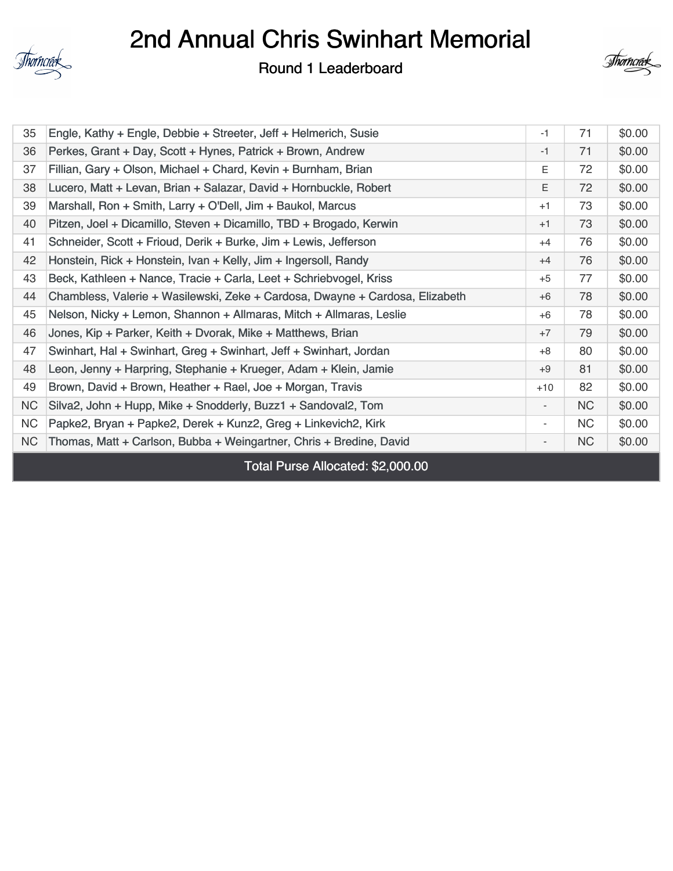

## 2nd Annual Chris Swinhart Memorial

Round 1 Leaderboard



| 35        | Engle, Kathy + Engle, Debbie + Streeter, Jeff + Helmerich, Susie             | $-1$                         | 71        | \$0.00 |
|-----------|------------------------------------------------------------------------------|------------------------------|-----------|--------|
| 36        | Perkes, Grant + Day, Scott + Hynes, Patrick + Brown, Andrew                  | $-1$                         | 71        | \$0.00 |
| 37        | Fillian, Gary + Olson, Michael + Chard, Kevin + Burnham, Brian               | E.                           | 72        | \$0.00 |
| 38        | Lucero, Matt + Levan, Brian + Salazar, David + Hornbuckle, Robert            | E                            | 72        | \$0.00 |
| 39        | Marshall, Ron + Smith, Larry + O'Dell, Jim + Baukol, Marcus                  | $+1$                         | 73        | \$0.00 |
| 40        | Pitzen, Joel + Dicamillo, Steven + Dicamillo, TBD + Brogado, Kerwin          | $+1$                         | 73        | \$0.00 |
| 41        | Schneider, Scott + Frioud, Derik + Burke, Jim + Lewis, Jefferson             | $+4$                         | 76        | \$0.00 |
| 42        | Honstein, Rick + Honstein, Ivan + Kelly, Jim + Ingersoll, Randy              | $+4$                         | 76        | \$0.00 |
| 43        | Beck, Kathleen + Nance, Tracie + Carla, Leet + Schriebvogel, Kriss           | $+5$                         | 77        | \$0.00 |
| 44        | Chambless, Valerie + Wasilewski, Zeke + Cardosa, Dwayne + Cardosa, Elizabeth | $+6$                         | 78        | \$0.00 |
| 45        | Nelson, Nicky + Lemon, Shannon + Allmaras, Mitch + Allmaras, Leslie          | $+6$                         | 78        | \$0.00 |
| 46        | Jones, Kip + Parker, Keith + Dvorak, Mike + Matthews, Brian                  | $+7$                         | 79        | \$0.00 |
| 47        | Swinhart, Hal + Swinhart, Greg + Swinhart, Jeff + Swinhart, Jordan           | $+8$                         | 80        | \$0.00 |
| 48        | Leon, Jenny + Harpring, Stephanie + Krueger, Adam + Klein, Jamie             | $+9$                         | 81        | \$0.00 |
| 49        | Brown, David + Brown, Heather + Rael, Joe + Morgan, Travis                   | $+10$                        | 82        | \$0.00 |
| <b>NC</b> | Silva2, John + Hupp, Mike + Snodderly, Buzz1 + Sandoval2, Tom                | $\overline{\phantom{a}}$     | NC        | \$0.00 |
| <b>NC</b> | Papke2, Bryan + Papke2, Derek + Kunz2, Greg + Linkevich2, Kirk               | $\overline{\phantom{a}}$     | <b>NC</b> | \$0.00 |
| NC        | Thomas, Matt + Carlson, Bubba + Weingartner, Chris + Bredine, David          | $\qquad \qquad \blacksquare$ | NC        | \$0.00 |
|           | Total Purse Allocated: \$2,000.00                                            |                              |           |        |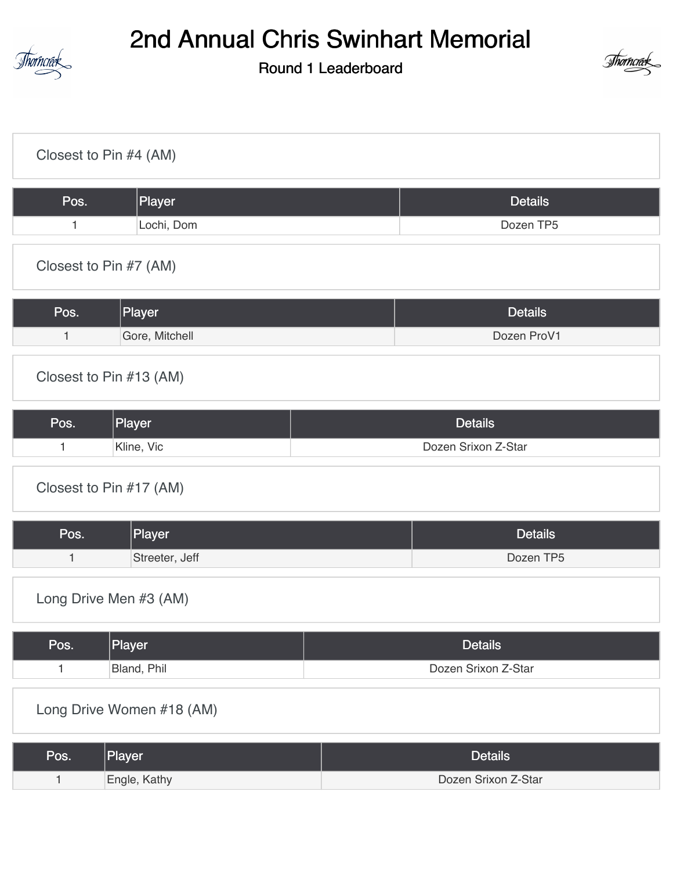

## 2nd Annual Chris Swinhart Memorial

Round 1 Leaderboard



| Closest to Pin #4 (AM)         |                     |  |  |  |  |
|--------------------------------|---------------------|--|--|--|--|
| Player<br>Pos.                 | <b>Details</b>      |  |  |  |  |
| Lochi, Dom<br>$\mathbf{1}$     | Dozen TP5           |  |  |  |  |
| Closest to Pin #7 (AM)         |                     |  |  |  |  |
| Player<br>Pos.                 | <b>Details</b>      |  |  |  |  |
| Gore, Mitchell<br>$\mathbf{1}$ | Dozen ProV1         |  |  |  |  |
| Closest to Pin #13 (AM)        |                     |  |  |  |  |
| Pos.<br>Player                 | <b>Details</b>      |  |  |  |  |
| Kline, Vic<br>1                | Dozen Srixon Z-Star |  |  |  |  |
| Closest to Pin #17 (AM)        |                     |  |  |  |  |
| Player<br>Pos.                 | <b>Details</b>      |  |  |  |  |
| Streeter, Jeff<br>1            | Dozen TP5           |  |  |  |  |
| Long Drive Men #3 (AM)         |                     |  |  |  |  |
| Player<br>Pos.                 | <b>Details</b>      |  |  |  |  |
| Bland, Phil<br>$\mathbf{1}$    | Dozen Srixon Z-Star |  |  |  |  |
| Long Drive Women #18 (AM)      |                     |  |  |  |  |
| Player<br>Pos.                 | <b>Details</b>      |  |  |  |  |
| Engle, Kathy<br>$\mathbf{1}$   | Dozen Srixon Z-Star |  |  |  |  |